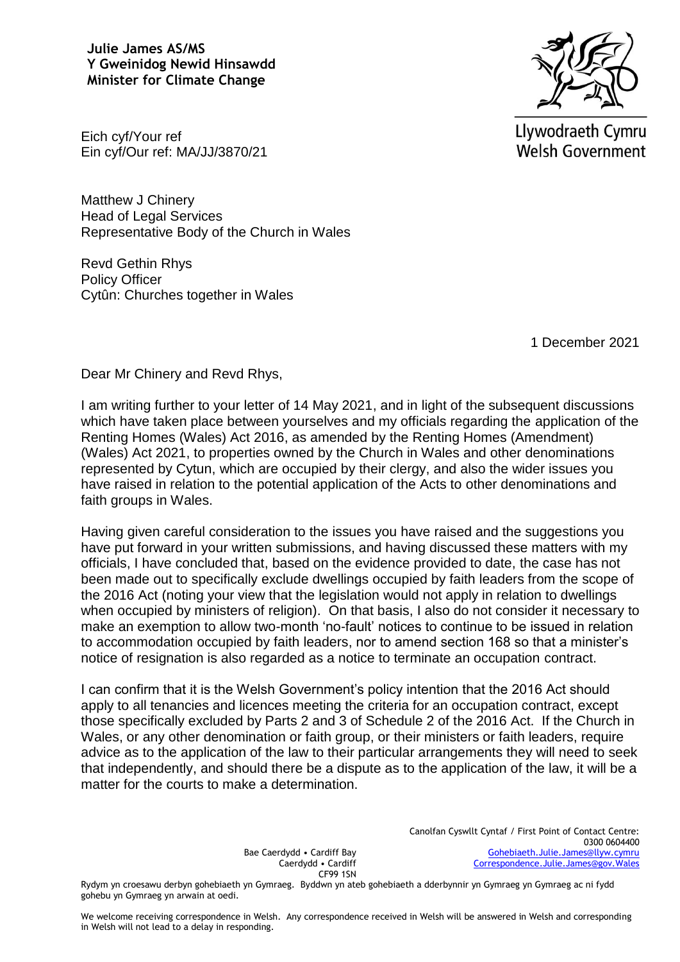**Julie James AS/MS Y Gweinidog Newid Hinsawdd Minister for Climate Change**



Llywodraeth Cymru **Welsh Government** 

Eich cyf/Your ref Ein cyf/Our ref: MA/JJ/3870/21

Matthew J Chinery Head of Legal Services Representative Body of the Church in Wales

Revd Gethin Rhys Policy Officer Cytûn: Churches together in Wales

1 December 2021

Dear Mr Chinery and Revd Rhys,

I am writing further to your letter of 14 May 2021, and in light of the subsequent discussions which have taken place between yourselves and my officials regarding the application of the Renting Homes (Wales) Act 2016, as amended by the Renting Homes (Amendment) (Wales) Act 2021, to properties owned by the Church in Wales and other denominations represented by Cytun, which are occupied by their clergy, and also the wider issues you have raised in relation to the potential application of the Acts to other denominations and faith groups in Wales.

Having given careful consideration to the issues you have raised and the suggestions you have put forward in your written submissions, and having discussed these matters with my officials, I have concluded that, based on the evidence provided to date, the case has not been made out to specifically exclude dwellings occupied by faith leaders from the scope of the 2016 Act (noting your view that the legislation would not apply in relation to dwellings when occupied by ministers of religion). On that basis, I also do not consider it necessary to make an exemption to allow two-month 'no-fault' notices to continue to be issued in relation to accommodation occupied by faith leaders, nor to amend section 168 so that a minister's notice of resignation is also regarded as a notice to terminate an occupation contract.

I can confirm that it is the Welsh Government's policy intention that the 2016 Act should apply to all tenancies and licences meeting the criteria for an occupation contract, except those specifically excluded by Parts 2 and 3 of Schedule 2 of the 2016 Act. If the Church in Wales, or any other denomination or faith group, or their ministers or faith leaders, require advice as to the application of the law to their particular arrangements they will need to seek that independently, and should there be a dispute as to the application of the law, it will be a matter for the courts to make a determination.

> Canolfan Cyswllt Cyntaf / First Point of Contact Centre: 0300 0604400 [Gohebiaeth.Julie.James@llyw.cymru](mailto:Gohebiaeth.Julie.James@llyw.cymru) [Correspondence.Julie.James@gov.Wales](mailto:Correspondence.Julie.James@gov.Wales)

Bae Caerdydd • Cardiff Bay Caerdydd • Cardiff CF99 1SN

Rydym yn croesawu derbyn gohebiaeth yn Gymraeg. Byddwn yn ateb gohebiaeth a dderbynnir yn Gymraeg yn Gymraeg ac ni fydd gohebu yn Gymraeg yn arwain at oedi.

We welcome receiving correspondence in Welsh. Any correspondence received in Welsh will be answered in Welsh and corresponding in Welsh will not lead to a delay in responding.